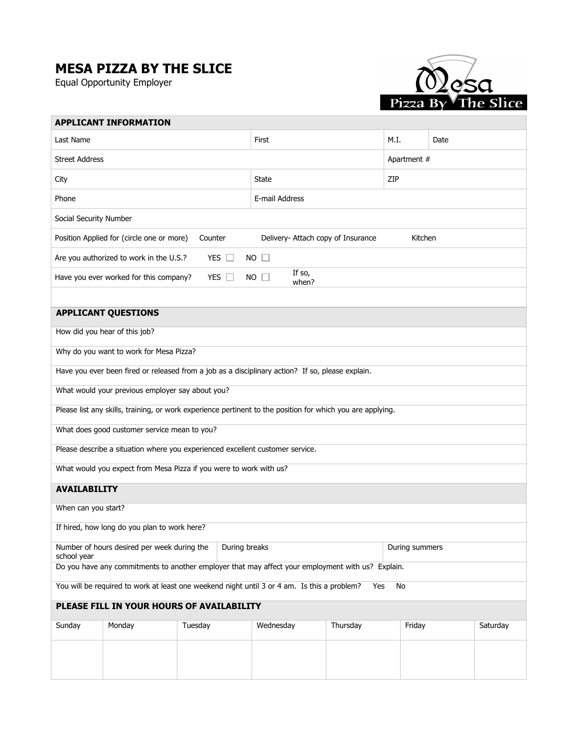## MESA PIZZA BY THE SLICE

Equal Opportunity Employer



|                                                                                                            | <b>APPLICANT INFORMATION</b> |         |  |           |          |             |      |          |  |
|------------------------------------------------------------------------------------------------------------|------------------------------|---------|--|-----------|----------|-------------|------|----------|--|
| Last Name                                                                                                  |                              |         |  | First     |          | M.I.        | Date |          |  |
|                                                                                                            | <b>Street Address</b>        |         |  |           |          | Apartment # |      |          |  |
| City                                                                                                       | State                        |         |  |           |          | ZIP         |      |          |  |
| Phone                                                                                                      | E-mail Address               |         |  |           |          |             |      |          |  |
| Social Security Number                                                                                     |                              |         |  |           |          |             |      |          |  |
| Position Applied for (circle one or more)<br>Counter<br>Delivery- Attach copy of Insurance<br>Kitchen      |                              |         |  |           |          |             |      |          |  |
| YES $\square$<br>Are you authorized to work in the U.S.?<br>$NO$ $\Box$                                    |                              |         |  |           |          |             |      |          |  |
| If so,<br>YES $\square$<br>Have you ever worked for this company?<br>$NO$ $\Box$<br>when?                  |                              |         |  |           |          |             |      |          |  |
|                                                                                                            |                              |         |  |           |          |             |      |          |  |
|                                                                                                            | <b>APPLICANT QUESTIONS</b>   |         |  |           |          |             |      |          |  |
| How did you hear of this job?                                                                              |                              |         |  |           |          |             |      |          |  |
| Why do you want to work for Mesa Pizza?                                                                    |                              |         |  |           |          |             |      |          |  |
| Have you ever been fired or released from a job as a disciplinary action? If so, please explain.           |                              |         |  |           |          |             |      |          |  |
| What would your previous employer say about you?                                                           |                              |         |  |           |          |             |      |          |  |
| Please list any skills, training, or work experience pertinent to the position for which you are applying. |                              |         |  |           |          |             |      |          |  |
| What does good customer service mean to you?                                                               |                              |         |  |           |          |             |      |          |  |
| Please describe a situation where you experienced excellent customer service.                              |                              |         |  |           |          |             |      |          |  |
| What would you expect from Mesa Pizza if you were to work with us?                                         |                              |         |  |           |          |             |      |          |  |
| <b>AVAILABILITY</b>                                                                                        |                              |         |  |           |          |             |      |          |  |
| When can you start?                                                                                        |                              |         |  |           |          |             |      |          |  |
| If hired, how long do you plan to work here?                                                               |                              |         |  |           |          |             |      |          |  |
| Number of hours desired per week during the<br>During breaks<br>During summers<br>school year              |                              |         |  |           |          |             |      |          |  |
| Do you have any commitments to another employer that may affect your employment with us? Explain.          |                              |         |  |           |          |             |      |          |  |
| You will be required to work at least one weekend night until 3 or 4 am. Is this a problem?<br>No<br>Yes   |                              |         |  |           |          |             |      |          |  |
| PLEASE FILL IN YOUR HOURS OF AVAILABILITY                                                                  |                              |         |  |           |          |             |      |          |  |
| Sunday                                                                                                     | Monday                       | Tuesday |  | Wednesday | Thursday | Friday      |      | Saturday |  |
|                                                                                                            |                              |         |  |           |          |             |      |          |  |
|                                                                                                            |                              |         |  |           |          |             |      |          |  |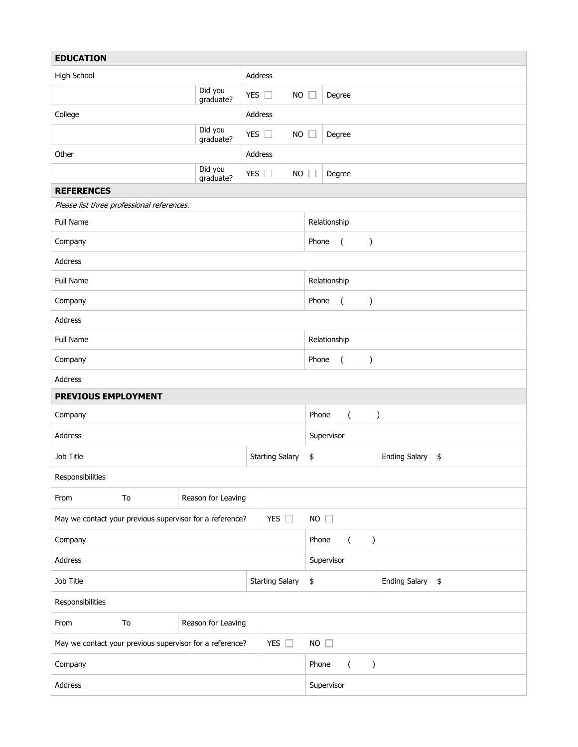| <b>EDUCATION</b>                                                                         |                        |                      |                            |                              |                |               |                                       |  |
|------------------------------------------------------------------------------------------|------------------------|----------------------|----------------------------|------------------------------|----------------|---------------|---------------------------------------|--|
| Address<br>High School                                                                   |                        |                      |                            |                              |                |               |                                       |  |
|                                                                                          |                        | Did you<br>graduate? | YES $\square$<br><b>NO</b> | $\Box$                       | Degree         |               |                                       |  |
| College                                                                                  |                        |                      | Address                    |                              |                |               |                                       |  |
|                                                                                          |                        | Did you<br>graduate? | YES $\square$<br><b>NO</b> | $\Box$                       | Degree         |               |                                       |  |
| Other                                                                                    |                        |                      | Address                    |                              |                |               |                                       |  |
|                                                                                          |                        | Did you<br>graduate? | YES $\square$<br><b>NO</b> | $\Box$                       | Degree         |               |                                       |  |
| <b>REFERENCES</b>                                                                        |                        |                      |                            |                              |                |               |                                       |  |
| Please list three professional references.                                               |                        |                      |                            |                              |                |               |                                       |  |
| Full Name                                                                                |                        |                      |                            |                              | Relationship   |               |                                       |  |
| Company                                                                                  |                        |                      |                            | Phone                        | $\overline{a}$ | )             |                                       |  |
| Address                                                                                  |                        |                      |                            |                              |                |               |                                       |  |
| Full Name                                                                                |                        |                      |                            | Relationship                 |                |               |                                       |  |
| Company                                                                                  |                        |                      |                            | Phone                        | $\overline{a}$ | )             |                                       |  |
| Address                                                                                  |                        |                      |                            |                              |                |               |                                       |  |
| Full Name                                                                                |                        |                      |                            |                              | Relationship   |               |                                       |  |
| Company                                                                                  |                        |                      |                            | Phone<br>$\overline{a}$<br>) |                |               |                                       |  |
| Address                                                                                  |                        |                      |                            |                              |                |               |                                       |  |
| PREVIOUS EMPLOYMENT                                                                      |                        |                      |                            |                              |                |               |                                       |  |
| Phone<br>Company                                                                         |                        |                      |                            |                              | $\sqrt{2}$     |               | $\big)$                               |  |
| Address                                                                                  |                        |                      |                            | Supervisor                   |                |               |                                       |  |
| Job Title                                                                                | <b>Starting Salary</b> |                      |                            |                              |                |               | <b>Ending Salary</b><br>$\frac{1}{2}$ |  |
| Responsibilities                                                                         |                        |                      |                            |                              |                |               |                                       |  |
| From                                                                                     | To                     | Reason for Leaving   |                            |                              |                |               |                                       |  |
| YES $\square$<br>$NO$ $\Box$<br>May we contact your previous supervisor for a reference? |                        |                      |                            |                              |                |               |                                       |  |
| Company                                                                                  |                        |                      |                            | Phone                        | $\left($       | $\big)$       |                                       |  |
| Address                                                                                  |                        |                      |                            |                              | Supervisor     |               |                                       |  |
| Job Title<br><b>Starting Salary</b>                                                      |                        |                      |                            | $\pmb{\$}$                   |                |               | <b>Ending Salary</b><br>$\frac{1}{2}$ |  |
| Responsibilities                                                                         |                        |                      |                            |                              |                |               |                                       |  |
| From                                                                                     | To                     | Reason for Leaving   |                            |                              |                |               |                                       |  |
| YES $\square$<br>$NO$ $\Box$<br>May we contact your previous supervisor for a reference? |                        |                      |                            |                              |                |               |                                       |  |
| Company                                                                                  |                        |                      |                            | Phone                        | $\left($       | $\mathcal{E}$ |                                       |  |
| Address                                                                                  |                        |                      |                            | Supervisor                   |                |               |                                       |  |